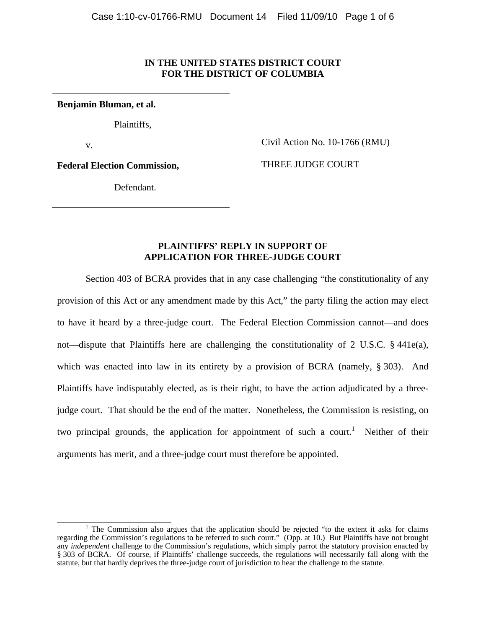### **IN THE UNITED STATES DISTRICT COURT FOR THE DISTRICT OF COLUMBIA**

**Benjamin Bluman, et al.**

Plaintiffs,

v.

Civil Action No. 10-1766 (RMU)

**Federal Election Commission,** 

THREE JUDGE COURT

Defendant.

# **PLAINTIFFS' REPLY IN SUPPORT OF APPLICATION FOR THREE-JUDGE COURT**

 Section 403 of BCRA provides that in any case challenging "the constitutionality of any provision of this Act or any amendment made by this Act," the party filing the action may elect to have it heard by a three-judge court. The Federal Election Commission cannot—and does not—dispute that Plaintiffs here are challenging the constitutionality of 2 U.S.C. § 441e(a), which was enacted into law in its entirety by a provision of BCRA (namely, § 303). And Plaintiffs have indisputably elected, as is their right, to have the action adjudicated by a threejudge court. That should be the end of the matter. Nonetheless, the Commission is resisting, on two principal grounds, the application for appointment of such a court.<sup>1</sup> Neither of their arguments has merit, and a three-judge court must therefore be appointed.

<sup>&</sup>lt;u>1</u> <sup>1</sup> The Commission also argues that the application should be rejected "to the extent it asks for claims regarding the Commission's regulations to be referred to such court." (Opp. at 10.) But Plaintiffs have not brought any *independent* challenge to the Commission's regulations, which simply parrot the statutory provision enacted by § 303 of BCRA. Of course, if Plaintiffs' challenge succeeds, the regulations will necessarily fall along with the statute, but that hardly deprives the three-judge court of jurisdiction to hear the challenge to the statute.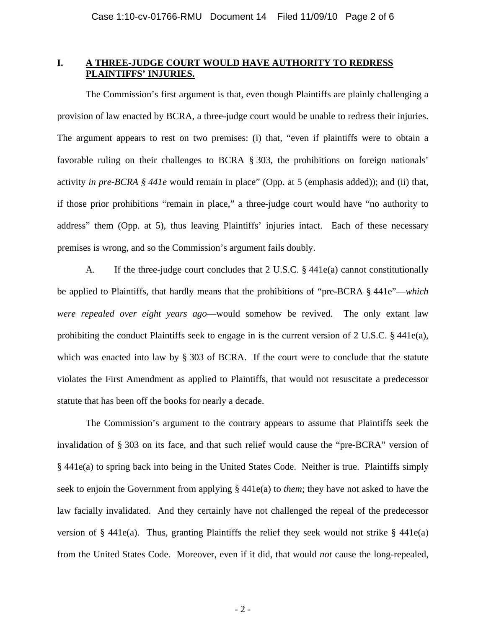# **I. A THREE-JUDGE COURT WOULD HAVE AUTHORITY TO REDRESS PLAINTIFFS' INJURIES.**

The Commission's first argument is that, even though Plaintiffs are plainly challenging a provision of law enacted by BCRA, a three-judge court would be unable to redress their injuries. The argument appears to rest on two premises: (i) that, "even if plaintiffs were to obtain a favorable ruling on their challenges to BCRA § 303, the prohibitions on foreign nationals' activity *in pre-BCRA § 441e* would remain in place" (Opp. at 5 (emphasis added)); and (ii) that, if those prior prohibitions "remain in place," a three-judge court would have "no authority to address" them (Opp. at 5), thus leaving Plaintiffs' injuries intact. Each of these necessary premises is wrong, and so the Commission's argument fails doubly.

A. If the three-judge court concludes that 2 U.S.C. § 441e(a) cannot constitutionally be applied to Plaintiffs, that hardly means that the prohibitions of "pre-BCRA § 441e"—*which were repealed over eight years ago*—would somehow be revived. The only extant law prohibiting the conduct Plaintiffs seek to engage in is the current version of 2 U.S.C. § 441e(a), which was enacted into law by § 303 of BCRA. If the court were to conclude that the statute violates the First Amendment as applied to Plaintiffs, that would not resuscitate a predecessor statute that has been off the books for nearly a decade.

The Commission's argument to the contrary appears to assume that Plaintiffs seek the invalidation of § 303 on its face, and that such relief would cause the "pre-BCRA" version of § 441e(a) to spring back into being in the United States Code. Neither is true. Plaintiffs simply seek to enjoin the Government from applying § 441e(a) to *them*; they have not asked to have the law facially invalidated. And they certainly have not challenged the repeal of the predecessor version of  $\S$  441e(a). Thus, granting Plaintiffs the relief they seek would not strike  $\S$  441e(a) from the United States Code. Moreover, even if it did, that would *not* cause the long-repealed,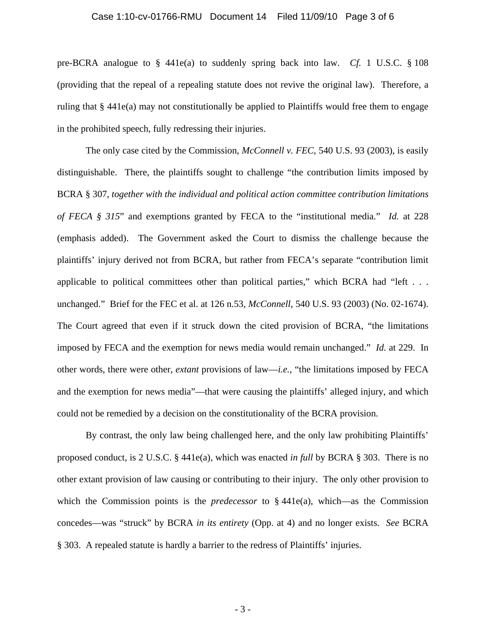#### Case 1:10-cv-01766-RMU Document 14 Filed 11/09/10 Page 3 of 6

pre-BCRA analogue to § 441e(a) to suddenly spring back into law. *Cf.* 1 U.S.C. § 108 (providing that the repeal of a repealing statute does not revive the original law). Therefore, a ruling that  $\S 441e(a)$  may not constitutionally be applied to Plaintiffs would free them to engage in the prohibited speech, fully redressing their injuries.

The only case cited by the Commission, *McConnell v. FEC*, 540 U.S. 93 (2003), is easily distinguishable. There, the plaintiffs sought to challenge "the contribution limits imposed by BCRA § 307, *together with the individual and political action committee contribution limitations of FECA § 315*" and exemptions granted by FECA to the "institutional media." *Id.* at 228 (emphasis added). The Government asked the Court to dismiss the challenge because the plaintiffs' injury derived not from BCRA, but rather from FECA's separate "contribution limit applicable to political committees other than political parties," which BCRA had "left  $\dots$ unchanged." Brief for the FEC et al. at 126 n.53, *McConnell*, 540 U.S. 93 (2003) (No. 02-1674). The Court agreed that even if it struck down the cited provision of BCRA, "the limitations imposed by FECA and the exemption for news media would remain unchanged." *Id.* at 229. In other words, there were other, *extant* provisions of law—*i.e.*, "the limitations imposed by FECA and the exemption for news media"—that were causing the plaintiffs' alleged injury, and which could not be remedied by a decision on the constitutionality of the BCRA provision.

By contrast, the only law being challenged here, and the only law prohibiting Plaintiffs' proposed conduct, is 2 U.S.C. § 441e(a), which was enacted *in full* by BCRA § 303. There is no other extant provision of law causing or contributing to their injury. The only other provision to which the Commission points is the *predecessor* to  $\S$  441e(a), which—as the Commission concedes—was "struck" by BCRA *in its entirety* (Opp. at 4) and no longer exists. *See* BCRA § 303. A repealed statute is hardly a barrier to the redress of Plaintiffs' injuries.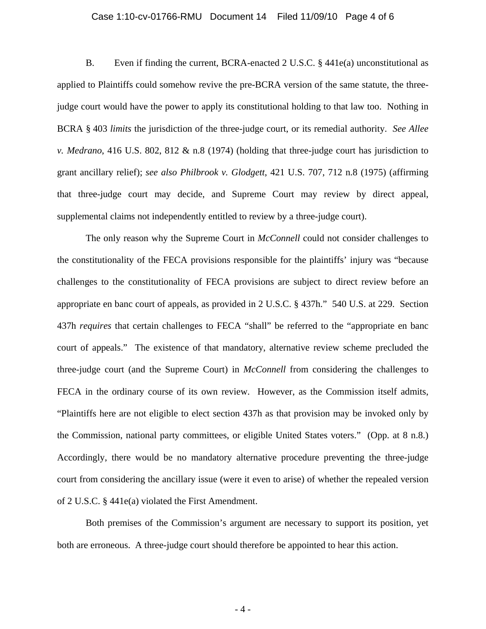#### Case 1:10-cv-01766-RMU Document 14 Filed 11/09/10 Page 4 of 6

B. Even if finding the current, BCRA-enacted 2 U.S.C. § 441e(a) unconstitutional as applied to Plaintiffs could somehow revive the pre-BCRA version of the same statute, the threejudge court would have the power to apply its constitutional holding to that law too. Nothing in BCRA § 403 *limits* the jurisdiction of the three-judge court, or its remedial authority. *See Allee v. Medrano*, 416 U.S. 802, 812 & n.8 (1974) (holding that three-judge court has jurisdiction to grant ancillary relief); *see also Philbrook v. Glodgett*, 421 U.S. 707, 712 n.8 (1975) (affirming that three-judge court may decide, and Supreme Court may review by direct appeal, supplemental claims not independently entitled to review by a three-judge court).

The only reason why the Supreme Court in *McConnell* could not consider challenges to the constitutionality of the FECA provisions responsible for the plaintiffs' injury was "because challenges to the constitutionality of FECA provisions are subject to direct review before an appropriate en banc court of appeals, as provided in 2 U.S.C. § 437h." 540 U.S. at 229. Section 437h *requires* that certain challenges to FECA "shall" be referred to the "appropriate en banc court of appeals." The existence of that mandatory, alternative review scheme precluded the three-judge court (and the Supreme Court) in *McConnell* from considering the challenges to FECA in the ordinary course of its own review. However, as the Commission itself admits, "Plaintiffs here are not eligible to elect section 437h as that provision may be invoked only by the Commission, national party committees, or eligible United States voters." (Opp. at 8 n.8.) Accordingly, there would be no mandatory alternative procedure preventing the three-judge court from considering the ancillary issue (were it even to arise) of whether the repealed version of 2 U.S.C. § 441e(a) violated the First Amendment.

Both premises of the Commission's argument are necessary to support its position, yet both are erroneous. A three-judge court should therefore be appointed to hear this action.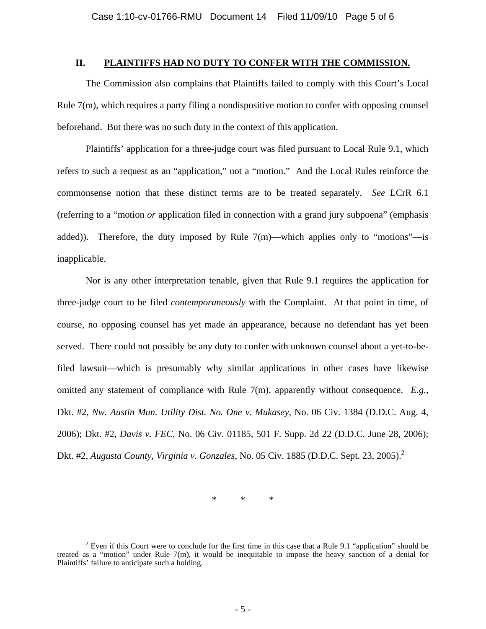### **II. PLAINTIFFS HAD NO DUTY TO CONFER WITH THE COMMISSION.**

The Commission also complains that Plaintiffs failed to comply with this Court's Local Rule  $7(m)$ , which requires a party filing a nondispositive motion to confer with opposing counsel beforehand. But there was no such duty in the context of this application.

Plaintiffs' application for a three-judge court was filed pursuant to Local Rule 9.1, which refers to such a request as an "application," not a "motion." And the Local Rules reinforce the commonsense notion that these distinct terms are to be treated separately. *See* LCrR 6.1 (referring to a "motion *or* application filed in connection with a grand jury subpoena" (emphasis added)). Therefore, the duty imposed by Rule  $7(m)$ —which applies only to "motions"—is inapplicable.

Nor is any other interpretation tenable, given that Rule 9.1 requires the application for three-judge court to be filed *contemporaneously* with the Complaint. At that point in time, of course, no opposing counsel has yet made an appearance, because no defendant has yet been served. There could not possibly be any duty to confer with unknown counsel about a yet-to-befiled lawsuit—which is presumably why similar applications in other cases have likewise omitted any statement of compliance with Rule 7(m), apparently without consequence. *E.g.*, Dkt. #2, *Nw. Austin Mun. Utility Dist. No. One v. Mukasey*, No. 06 Civ. 1384 (D.D.C. Aug. 4, 2006); Dkt. #2, *Davis v. FEC*, No. 06 Civ. 01185, 501 F. Supp. 2d 22 (D.D.C. June 28, 2006); Dkt. #2, *Augusta County, Virginia v. Gonzales*, No. 05 Civ. 1885 (D.D.C. Sept. 23, 2005).2

\* \* \*

 $\overline{\phantom{a}}$  $2$  Even if this Court were to conclude for the first time in this case that a Rule 9.1 "application" should be treated as a "motion" under Rule 7(m), it would be inequitable to impose the heavy sanction of a denial for Plaintiffs' failure to anticipate such a holding.